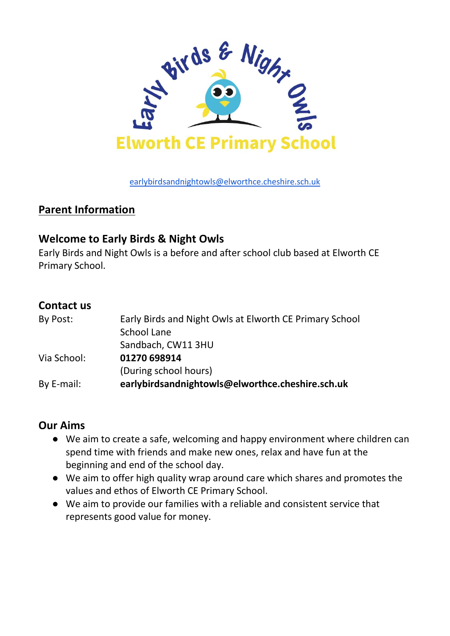

[earlybirdsandnightowls@elworthce.cheshire.sch.uk](mailto:earlybirdsandnightowls@elworthce.cheshire.sch.uk)

## **Parent Information**

### **Welcome to Early Birds & Night Owls**

Early Birds and Night Owls is a before and after school club based at Elworth CE Primary School.

### **Contact us**

| By Post:    | Early Birds and Night Owls at Elworth CE Primary School |
|-------------|---------------------------------------------------------|
|             | School Lane                                             |
|             | Sandbach, CW11 3HU                                      |
| Via School: | 01270 698914                                            |
|             | (During school hours)                                   |
| By E-mail:  | earlybirdsandnightowls@elworthce.cheshire.sch.uk        |

## **Our Aims**

- We aim to create a safe, welcoming and happy environment where children can spend time with friends and make new ones, relax and have fun at the beginning and end of the school day.
- We aim to offer high quality wrap around care which shares and promotes the values and ethos of Elworth CE Primary School.
- We aim to provide our families with a reliable and consistent service that represents good value for money.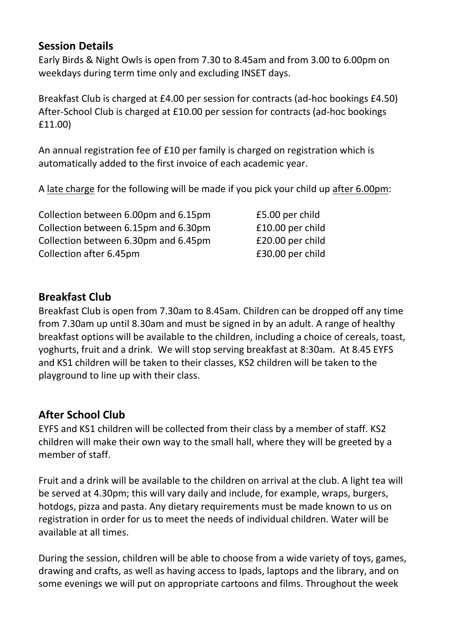## **Session Details**

Early Birds & Night Owls is open from 7.30 to 8.45am and from 3.00 to 6.00pm on weekdays during term time only and excluding INSET days.

Breakfast Club is charged at £4.00 per session for contracts (ad-hoc bookings £4.50) After-School Club is charged at £10.00 per session for contracts (ad-hoc bookings £11.00)

An annual registration fee of £10 per family is charged on registration which is automatically added to the first invoice of each academic year.

A late charge for the following will be made if you pick your child up after 6.00pm:

Collection between 6.00pm and 6.15pm £5.00 per child Collection between 6.15pm and 6.30pm £10.00 per child Collection between 6.30pm and 6.45pm £20.00 per child Collection after 6.45pm **E30.00** per child

## **Breakfast Club**

Breakfast Club is open from 7.30am to 8.45am. Children can be dropped off any time from 7.30am up until 8.30am and must be signed in by an adult. A range of healthy breakfast options will be available to the children, including a choice of cereals, toast, yoghurts, fruit and a drink. We will stop serving breakfast at 8:30am. At 8.45 EYFS and KS1 children will be taken to their classes, KS2 children will be taken to the playground to line up with their class.

## **After School Club**

EYFS and KS1 children will be collected from their class by a member of staff. KS2 children will make their own way to the small hall, where they will be greeted by a member of staff.

Fruit and a drink will be available to the children on arrival at the club. A light tea will be served at 4.30pm; this will vary daily and include, for example, wraps, burgers, hotdogs, pizza and pasta. Any dietary requirements must be made known to us on registration in order for us to meet the needs of individual children. Water will be available at all times.

During the session, children will be able to choose from a wide variety of toys, games, drawing and crafts, as well as having access to Ipads, laptops and the library, and on some evenings we will put on appropriate cartoons and films. Throughout the week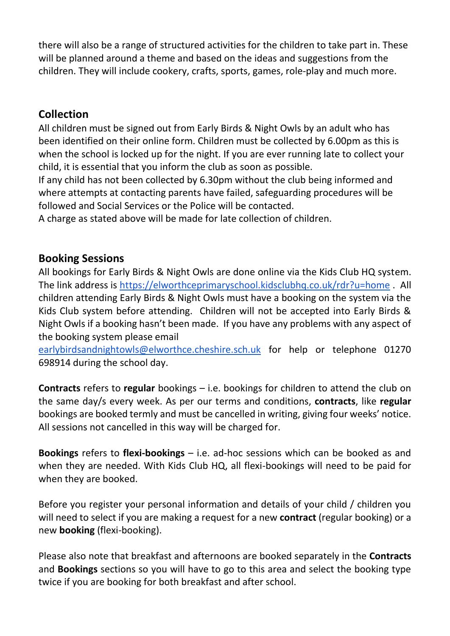there will also be a range of structured activities for the children to take part in. These will be planned around a theme and based on the ideas and suggestions from the children. They will include cookery, crafts, sports, games, role-play and much more.

## **Collection**

All children must be signed out from Early Birds & Night Owls by an adult who has been identified on their online form. Children must be collected by 6.00pm as this is when the school is locked up for the night. If you are ever running late to collect your child, it is essential that you inform the club as soon as possible.

If any child has not been collected by 6.30pm without the club being informed and where attempts at contacting parents have failed, safeguarding procedures will be followed and Social Services or the Police will be contacted.

A charge as stated above will be made for late collection of children.

### **Booking Sessions**

All bookings for Early Birds & Night Owls are done online via the Kids Club HQ system. The link address is<https://elworthceprimaryschool.kidsclubhq.co.uk/rdr?u=home> . All children attending Early Birds & Night Owls must have a booking on the system via the Kids Club system before attending. Children will not be accepted into Early Birds & Night Owls if a booking hasn't been made. If you have any problems with any aspect of the booking system please email

[earlybirdsandnightowls@elworthce.cheshire.sch.uk](mailto:earlybirds&nightowls@elworthce.cheshire.sch.uk) for help or telephone 01270 698914 during the school day.

**Contracts** refers to **regular** bookings – i.e. bookings for children to attend the club on the same day/s every week. As per our terms and conditions, **contracts**, like **regular** bookings are booked termly and must be cancelled in writing, giving four weeks' notice. All sessions not cancelled in this way will be charged for.

**Bookings** refers to **flexi-bookings** – i.e. ad-hoc sessions which can be booked as and when they are needed. With Kids Club HQ, all flexi-bookings will need to be paid for when they are booked.

Before you register your personal information and details of your child / children you will need to select if you are making a request for a new **contract** (regular booking) or a new **booking** (flexi-booking).

Please also note that breakfast and afternoons are booked separately in the **Contracts** and **Bookings** sections so you will have to go to this area and select the booking type twice if you are booking for both breakfast and after school.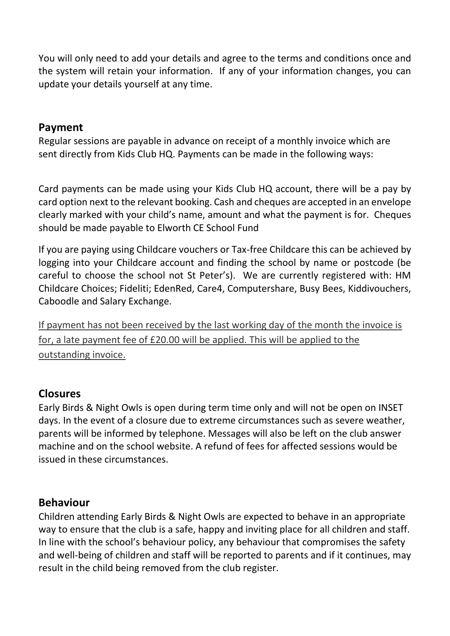You will only need to add your details and agree to the terms and conditions once and the system will retain your information. If any of your information changes, you can update your details yourself at any time.

### **Payment**

Regular sessions are payable in advance on receipt of a monthly invoice which are sent directly from Kids Club HQ. Payments can be made in the following ways:

Card payments can be made using your Kids Club HQ account, there will be a pay by card option next to the relevant booking. Cash and cheques are accepted in an envelope clearly marked with your child's name, amount and what the payment is for. Cheques should be made payable to Elworth CE School Fund

If you are paying using Childcare vouchers or Tax-free Childcare this can be achieved by logging into your Childcare account and finding the school by name or postcode (be careful to choose the school not St Peter's). We are currently registered with: HM Childcare Choices; Fideliti; EdenRed, Care4, Computershare, Busy Bees, Kiddivouchers, Caboodle and Salary Exchange.

If payment has not been received by the last working day of the month the invoice is for, a late payment fee of £20.00 will be applied. This will be applied to the outstanding invoice.

## **Closures**

Early Birds & Night Owls is open during term time only and will not be open on INSET days. In the event of a closure due to extreme circumstances such as severe weather, parents will be informed by telephone. Messages will also be left on the club answer machine and on the school website. A refund of fees for affected sessions would be issued in these circumstances.

#### **Behaviour**

Children attending Early Birds & Night Owls are expected to behave in an appropriate way to ensure that the club is a safe, happy and inviting place for all children and staff. In line with the school's behaviour policy, any behaviour that compromises the safety and well-being of children and staff will be reported to parents and if it continues, may result in the child being removed from the club register.